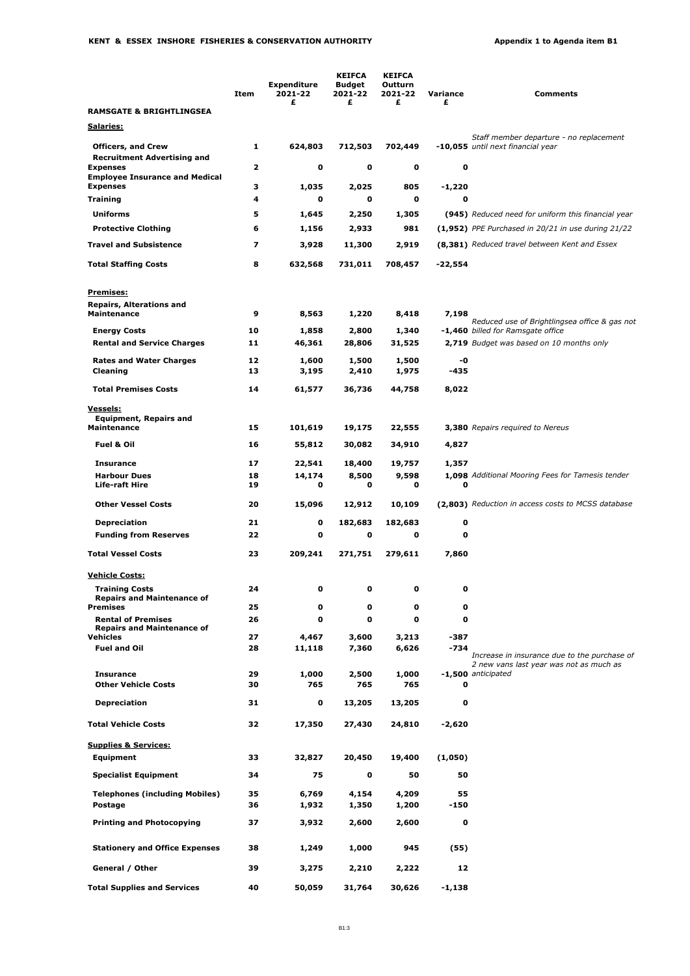|                                                                             | Item     | <b>Expenditure</b><br>2021-22<br>£ | <b>KEIFCA</b><br><b>Budget</b><br>2021-22<br>£ | <b>KEIFCA</b><br>Outturn<br>2021-22<br>£ | Variance<br>£         | <b>Comments</b>                                                               |
|-----------------------------------------------------------------------------|----------|------------------------------------|------------------------------------------------|------------------------------------------|-----------------------|-------------------------------------------------------------------------------|
| <b>RAMSGATE &amp; BRIGHTLINGSEA</b>                                         |          |                                    |                                                |                                          |                       |                                                                               |
| <u>Salaries:</u>                                                            |          |                                    |                                                |                                          |                       | Staff member departure - no replacement                                       |
| <b>Officers, and Crew</b><br><b>Recruitment Advertising and</b>             | 1        | 624,803                            | 712,503                                        | 702,449                                  |                       | -10,055 until next financial year                                             |
| <b>Expenses</b><br><b>Employee Insurance and Medical</b><br><b>Expenses</b> | 2        | 0<br>1.035                         | 0                                              | 0                                        | 0                     |                                                                               |
| Training                                                                    | з<br>4   | 0                                  | 2,025<br>O                                     | 805<br>$\mathbf 0$                       | -1,220<br>$\mathbf o$ |                                                                               |
| <b>Uniforms</b>                                                             | 5        | 1,645                              | 2,250                                          | 1,305                                    |                       | (945) Reduced need for uniform this financial year                            |
| <b>Protective Clothing</b>                                                  | 6        | 1,156                              | 2,933                                          | 981                                      |                       | (1,952) PPE Purchased in 20/21 in use during 21/22                            |
| <b>Travel and Subsistence</b>                                               | 7        | 3,928                              | 11,300                                         | 2,919                                    |                       | (8,381) Reduced travel between Kent and Essex                                 |
| <b>Total Staffing Costs</b>                                                 | 8        | 632,568                            | 731,011                                        | 708,457                                  | $-22,554$             |                                                                               |
|                                                                             |          |                                    |                                                |                                          |                       |                                                                               |
| Premises:                                                                   |          |                                    |                                                |                                          |                       |                                                                               |
| <b>Repairs, Alterations and</b><br><b>Maintenance</b>                       | 9        | 8,563                              | 1,220                                          | 8,418                                    | 7,198                 |                                                                               |
|                                                                             |          |                                    |                                                |                                          |                       | Reduced use of Brightlingsea office & gas not                                 |
| <b>Energy Costs</b><br><b>Rental and Service Charges</b>                    | 10<br>11 | 1,858<br>46,361                    | 2,800<br>28,806                                | 1,340<br>31,525                          |                       | -1,460 billed for Ramsgate office<br>2,719 Budget was based on 10 months only |
|                                                                             |          |                                    |                                                |                                          |                       |                                                                               |
| <b>Rates and Water Charges</b><br>Cleaning                                  | 12<br>13 | 1,600<br>3,195                     | 1,500<br>2,410                                 | 1,500<br>1,975                           | -0<br>-435            |                                                                               |
| <b>Total Premises Costs</b>                                                 | 14       | 61,577                             | 36,736                                         | 44,758                                   | 8,022                 |                                                                               |
| <u>Vessels:</u><br><b>Equipment, Repairs and</b><br><b>Maintenance</b>      | 15       | 101,619                            | 19,175                                         | 22,555                                   |                       | 3,380 Repairs required to Nereus                                              |
| Fuel & Oil                                                                  | 16       | 55,812                             | 30,082                                         | 34,910                                   | 4,827                 |                                                                               |
| <b>Insurance</b>                                                            | 17       | 22,541                             | 18,400                                         | 19,757                                   | 1,357                 |                                                                               |
| <b>Harbour Dues</b>                                                         | 18       | 14,174                             | 8,500                                          | 9,598                                    |                       | <b>1,098</b> Additional Mooring Fees for Tamesis tender                       |
| <b>Life-raft Hire</b>                                                       | 19       | 0                                  | 0                                              | 0                                        | 0                     |                                                                               |
| <b>Other Vessel Costs</b>                                                   | 20       | 15,096                             | 12,912                                         | 10,109                                   |                       | (2,803) Reduction in access costs to MCSS database                            |
| <b>Depreciation</b>                                                         | 21       | 0                                  | 182,683                                        | 182,683                                  | 0                     |                                                                               |
| <b>Funding from Reserves</b>                                                | 22       | 0                                  | o                                              | $\mathbf 0$                              | 0                     |                                                                               |
| <b>Total Vessel Costs</b>                                                   | 23       | 209,241                            | 271,751                                        | 279,611                                  | 7,860                 |                                                                               |
| <b>Vehicle Costs:</b>                                                       |          |                                    |                                                |                                          |                       |                                                                               |
| <b>Training Costs</b><br><b>Repairs and Maintenance of</b>                  | 24       |                                    |                                                |                                          |                       |                                                                               |
| <b>Premises</b>                                                             | 25       | 0                                  | 0                                              | 0                                        | 0                     |                                                                               |
| <b>Rental of Premises</b><br><b>Repairs and Maintenance of</b>              | 26       | 0                                  | O                                              | 0                                        | 0                     |                                                                               |
| <b>Vehicles</b><br><b>Fuel and Oil</b>                                      | 27       | 4,467                              | 3,600                                          | 3,213                                    | $-387$<br>$-734$      |                                                                               |
|                                                                             | 28       | 11,118                             | 7,360                                          | 6,626                                    |                       | Increase in insurance due to the purchase of                                  |
| <b>Insurance</b>                                                            | 29       | 1,000                              | 2,500                                          | 1,000                                    |                       | 2 new vans last year was not as much as<br>-1,500 anticipated                 |
| <b>Other Vehicle Costs</b>                                                  | 30       | 765                                | 765                                            | 765                                      | 0                     |                                                                               |
| <b>Depreciation</b>                                                         | 31       | 0                                  | 13,205                                         | 13,205                                   | 0                     |                                                                               |
| <b>Total Vehicle Costs</b>                                                  | 32       | 17,350                             | 27,430                                         | 24,810                                   | -2,620                |                                                                               |
| <b>Supplies &amp; Services:</b>                                             |          |                                    |                                                |                                          |                       |                                                                               |
| <b>Equipment</b>                                                            | 33       | 32,827                             | 20,450                                         | 19,400                                   | (1,050)               |                                                                               |
| <b>Specialist Equipment</b>                                                 | 34       | 75                                 | 0                                              | 50                                       | 50                    |                                                                               |
| <b>Telephones (including Mobiles)</b>                                       | 35       | 6,769                              | 4,154                                          | 4,209                                    | 55                    |                                                                               |
| Postage                                                                     | 36       | 1,932                              | 1,350                                          | 1,200                                    | -150                  |                                                                               |
| <b>Printing and Photocopying</b>                                            | 37       | 3,932                              | 2,600                                          | 2,600                                    | $\mathbf 0$           |                                                                               |
| <b>Stationery and Office Expenses</b>                                       | 38       | 1,249                              | 1,000                                          | 945                                      | (55)                  |                                                                               |
| General / Other                                                             | 39       | 3,275                              | 2,210                                          | 2,222                                    | 12                    |                                                                               |
| <b>Total Supplies and Services</b>                                          | 40       | 50,059                             | 31,764                                         | 30,626                                   | -1,138                |                                                                               |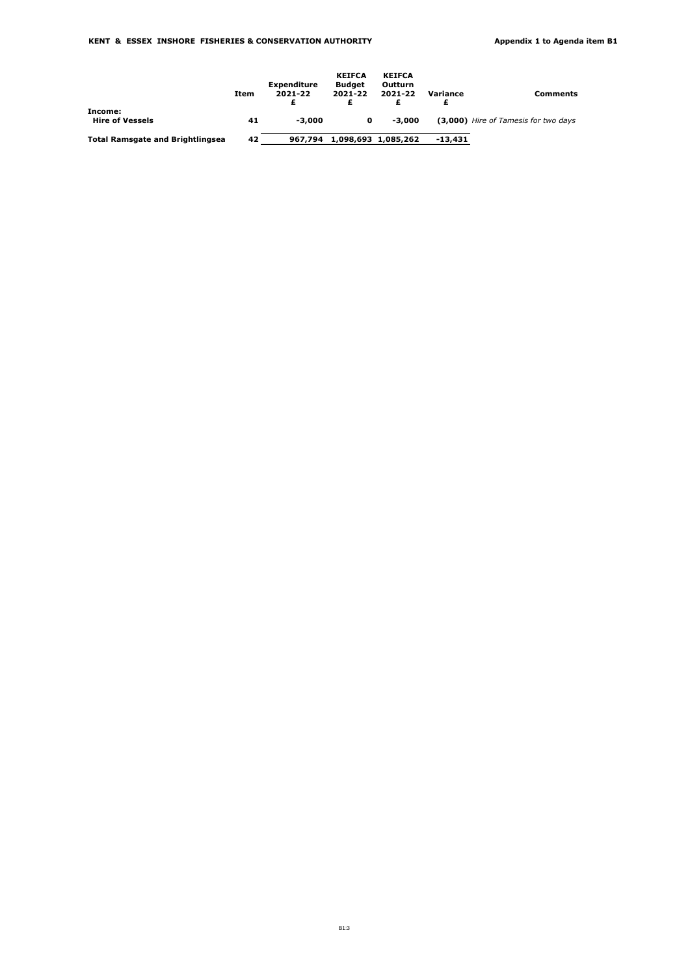|                                         | Item | Expenditure<br>2021-22 | <b>KEIFCA</b><br><b>Budget</b><br>2021-22 | <b>KEIFCA</b><br>Outturn<br>2021-22 | Variance  | Comments                             |
|-----------------------------------------|------|------------------------|-------------------------------------------|-------------------------------------|-----------|--------------------------------------|
| Income:                                 |      |                        |                                           |                                     |           |                                      |
| <b>Hire of Vessels</b>                  | 41   | -3.000                 | 0                                         | $-3,000$                            |           | (3,000) Hire of Tamesis for two days |
| <b>Total Ramsgate and Brightlingsea</b> | 42   | 967.794                |                                           | 1,098,693 1,085,262                 | $-13.431$ |                                      |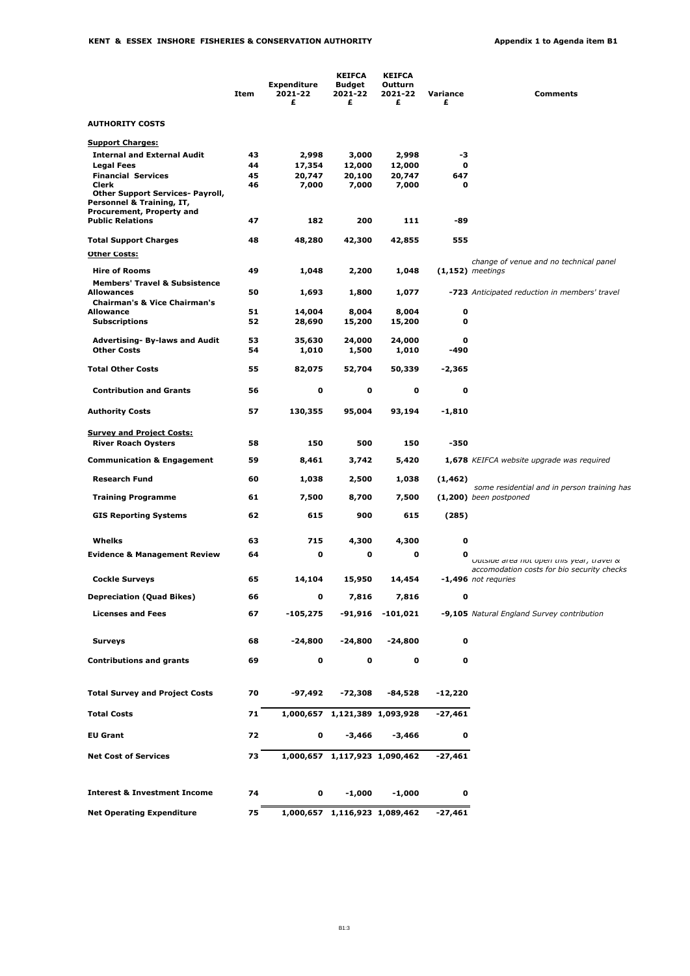|                                                                                                   | Item     | <b>Expenditure</b><br>2021-22<br>£ | <b>KEIFCA</b><br>Budget<br>2021-22<br>£ | <b>KEIFCA</b><br>Outturn<br>2021-22<br>£ | Variance<br>£ | <b>Comments</b>                                                         |
|---------------------------------------------------------------------------------------------------|----------|------------------------------------|-----------------------------------------|------------------------------------------|---------------|-------------------------------------------------------------------------|
| <b>AUTHORITY COSTS</b>                                                                            |          |                                    |                                         |                                          |               |                                                                         |
| <b>Support Charges:</b>                                                                           |          |                                    |                                         |                                          |               |                                                                         |
| <b>Internal and External Audit</b>                                                                | 43       | 2,998                              | 3,000                                   | 2,998                                    | -3            |                                                                         |
| <b>Legal Fees</b>                                                                                 | 44       | 17,354                             | 12,000                                  | 12,000                                   | 0             |                                                                         |
| <b>Financial Services</b><br>Clerk                                                                | 45<br>46 | 20,747<br>7,000                    | 20,100<br>7,000                         | 20,747<br>7,000                          | 647<br>0      |                                                                         |
| <b>Other Support Services- Payroll,</b><br>Personnel & Training, IT,<br>Procurement, Property and |          |                                    |                                         |                                          |               |                                                                         |
| <b>Public Relations</b>                                                                           | 47       | 182                                | 200                                     | 111                                      | -89           |                                                                         |
| <b>Total Support Charges</b>                                                                      | 48       | 48,280                             | 42,300                                  | 42,855                                   | 555           |                                                                         |
| <b>Other Costs:</b>                                                                               |          |                                    |                                         |                                          |               |                                                                         |
| <b>Hire of Rooms</b>                                                                              | 49       | 1,048                              | 2,200                                   | 1,048                                    |               | change of venue and no technical panel<br>$(1,152)$ meetings            |
| <b>Members' Travel &amp; Subsistence</b>                                                          |          |                                    |                                         |                                          |               |                                                                         |
| <b>Allowances</b><br><b>Chairman's &amp; Vice Chairman's</b>                                      | 50       | 1,693                              | 1,800                                   | 1,077                                    |               | -723 Anticipated reduction in members' travel                           |
| Allowance                                                                                         | 51       | 14,004                             | 8,004                                   | 8,004                                    | 0             |                                                                         |
| <b>Subscriptions</b>                                                                              | 52       | 28,690                             | 15,200                                  | 15,200                                   | 0             |                                                                         |
| <b>Advertising- By-laws and Audit</b>                                                             | 53       | 35,630                             | 24,000                                  | 24,000                                   | 0             |                                                                         |
| <b>Other Costs</b>                                                                                | 54       | 1,010                              | 1,500                                   | 1,010                                    | -490          |                                                                         |
| <b>Total Other Costs</b>                                                                          | 55       | 82,075                             | 52,704                                  | 50,339                                   | -2,365        |                                                                         |
| <b>Contribution and Grants</b>                                                                    | 56       | $\mathbf 0$                        | o                                       | 0                                        | 0             |                                                                         |
| <b>Authority Costs</b>                                                                            | 57       | 130,355                            | 95,004                                  | 93,194                                   | $-1,810$      |                                                                         |
| <b>Survey and Project Costs:</b>                                                                  |          |                                    |                                         |                                          |               |                                                                         |
| <b>River Roach Oysters</b>                                                                        | 58       | 150                                | 500                                     | 150                                      | -350          |                                                                         |
| <b>Communication &amp; Engagement</b>                                                             | 59       | 8,461                              | 3,742                                   | 5,420                                    |               | <b>1,678</b> KEIFCA website upgrade was required                        |
| <b>Research Fund</b>                                                                              | 60       | 1,038                              | 2,500                                   | 1,038                                    | (1, 462)      |                                                                         |
| <b>Training Programme</b>                                                                         | 61       | 7,500                              | 8,700                                   | 7,500                                    |               | some residential and in person training has<br>$(1,200)$ been postponed |
| <b>GIS Reporting Systems</b>                                                                      | 62       | 615                                | 900                                     | 615                                      | (285)         |                                                                         |
|                                                                                                   |          |                                    |                                         |                                          |               |                                                                         |
| Whelks                                                                                            | 63       | 715                                | 4,300                                   | 4,300                                    | 0             |                                                                         |
| <b>Evidence &amp; Management Review</b>                                                           | 64       | o                                  | 0                                       | 0                                        | 0             | UUTSIGE area not open this year, travel &                               |
|                                                                                                   |          |                                    |                                         |                                          |               | accomodation costs for bio security checks                              |
| <b>Cockle Surveys</b>                                                                             | 65       | 14,104                             | 15,950                                  | 14,454                                   |               | $-1,496$ not requries                                                   |
| <b>Depreciation (Quad Bikes)</b>                                                                  | 66       | 0                                  | 7,816                                   | 7,816                                    | 0             |                                                                         |
| <b>Licenses and Fees</b>                                                                          | 67       | -105,275                           | -91,916                                 | $-101,021$                               |               | -9,105 Natural England Survey contribution                              |
| <b>Surveys</b>                                                                                    | 68       | $-24,800$                          | $-24,800$                               | $-24,800$                                | 0             |                                                                         |
| <b>Contributions and grants</b>                                                                   | 69       | 0                                  | 0                                       | 0                                        | 0             |                                                                         |
|                                                                                                   |          |                                    |                                         |                                          |               |                                                                         |
| <b>Total Survey and Project Costs</b>                                                             | 70       | -97,492                            | -72,308                                 | $-84,528$                                | $-12,220$     |                                                                         |
| <b>Total Costs</b>                                                                                | 71       |                                    | 1,000,657 1,121,389 1,093,928           |                                          | -27,461       |                                                                         |
| <b>EU Grant</b>                                                                                   | 72       | 0                                  | $-3,466$                                | -3,466                                   | 0             |                                                                         |
| <b>Net Cost of Services</b>                                                                       | 73       |                                    | 1,000,657 1,117,923 1,090,462           |                                          | $-27,461$     |                                                                         |
| <b>Interest &amp; Investment Income</b>                                                           | 74       | 0                                  | $-1,000$                                | $-1,000$                                 | 0             |                                                                         |
| <b>Net Operating Expenditure</b>                                                                  | 75       |                                    | 1,000,657 1,116,923 1,089,462           |                                          | -27,461       |                                                                         |